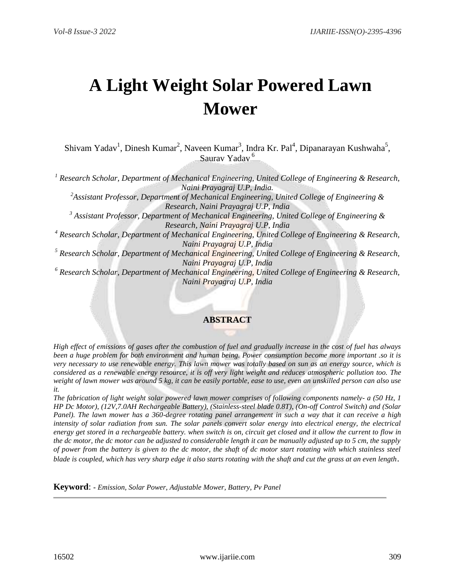# **A Light Weight Solar Powered Lawn Mower**

Shivam Yadav<sup>1</sup>, Dinesh Kumar<sup>2</sup>, Naveen Kumar<sup>3</sup>, Indra Kr. Pal<sup>4</sup>, Dipanarayan Kushwaha<sup>5</sup>, Saurav Yadav <sup>6</sup>

*<sup>1</sup> Research Scholar, Department of Mechanical Engineering, United College of Engineering & Research, Naini Prayagraj U.P, India.*

*<sup>2</sup>Assistant Professor, Department of Mechanical Engineering, United College of Engineering & Research, Naini Prayagraj U.P, India*

*<sup>3</sup> Assistant Professor, Department of Mechanical Engineering, United College of Engineering & Research, Naini Prayagraj U.P, India*

*<sup>4</sup> Research Scholar, Department of Mechanical Engineering, United College of Engineering & Research, Naini Prayagraj U.P, India*

*<sup>5</sup> Research Scholar, Department of Mechanical Engineering, United College of Engineering & Research, Naini Prayagraj U.P, India*

*<sup>6</sup> Research Scholar, Department of Mechanical Engineering, United College of Engineering & Research, Naini Prayagraj U.P, India*

# **ABSTRACT**

*High effect of emissions of gases after the combustion of fuel and gradually increase in the cost of fuel has always been a huge problem for both environment and human being. Power consumption become more important .so it is very necessary to use renewable energy. This lawn mower was totally based on sun as an energy source, which is considered as a renewable energy resource, it is off very light weight and reduces atmospheric pollution too. The weight of lawn mower was around 5 kg, it can be easily portable, ease to use, even an unskilled person can also use it.*

*The fabrication of light weight solar powered lawn mower comprises of following components namely- a (50 Hz, 1 HP Dc Motor), (12V,7.0AH Rechargeable Battery), (Stainless-steel blade 0.8T), (On-off Control Switch) and (Solar Panel). The lawn mower has a 360-degree rotating panel arrangement in such a way that it can receive a high intensity of solar radiation from sun. The solar panels convert solar energy into electrical energy, the electrical energy get stored in a rechargeable battery. when switch is on, circuit get closed and it allow the current to flow in the dc motor, the dc motor can be adjusted to considerable length it can be manually adjusted up to 5 cm, the supply of power from the battery is given to the dc motor, the shaft of dc motor start rotating with which stainless steel blade is coupled, which has very sharp edge it also starts rotating with the shaft and cut the grass at an even length*.

**Keyword**: **-** *Emission, Solar Power, Adjustable Mower, Battery, Pv Panel*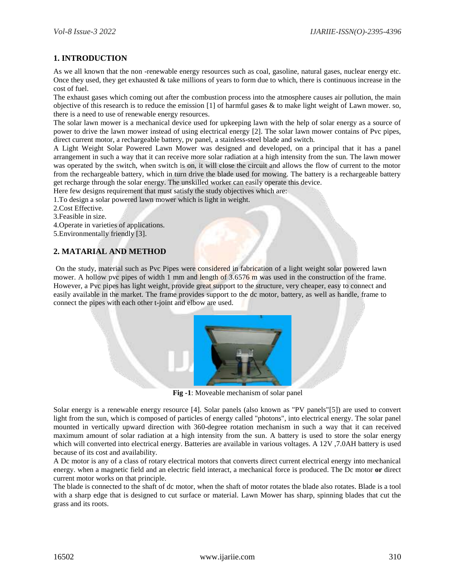## **1. INTRODUCTION**

As we all known that the non -renewable energy resources such as coal, gasoline, natural gases, nuclear energy etc. Once they used, they get exhausted  $&$  take millions of years to form due to which, there is continuous increase in the cost of fuel.

The exhaust gases which coming out after the combustion process into the atmosphere causes air pollution, the main objective of this research is to reduce the emission [1] of harmful gases  $\&$  to make light weight of Lawn mower. so, there is a need to use of renewable energy resources.

The solar lawn mower is a mechanical device used for upkeeping lawn with the help of solar energy as a source of power to drive the lawn mower instead of using electrical energy [2]. The solar lawn mower contains of Pvc pipes, direct current motor, a rechargeable battery, pv panel, a stainless-steel blade and switch.

A Light Weight Solar Powered Lawn Mower was designed and developed, on a principal that it has a panel arrangement in such a way that it can receive more solar radiation at a high intensity from the sun. The lawn mower was operated by the switch, when switch is on, it will close the circuit and allows the flow of current to the motor from the rechargeable battery, which in turn drive the blade used for mowing. The battery is a rechargeable battery get recharge through the solar energy. The unskilled worker can easily operate this device.

Here few designs requirement that must satisfy the study objectives which are:

1.To design a solar powered lawn mower which is light in weight.

2.Cost Effective.

3.Feasible in size.

4.Operate in varieties of applications.

5.Environmentally friendly [3].

#### **2. MATARIAL AND METHOD**

On the study, material such as Pvc Pipes were considered in fabrication of a light weight solar powered lawn mower. A hollow pvc pipes of width 1 mm and length of 3.6576 m was used in the construction of the frame. However, a Pvc pipes has light weight, provide great support to the structure, very cheaper, easy to connect and easily available in the market. The frame provides support to the dc motor, battery, as well as handle, frame to connect the pipes with each other t-joint and elbow are used.



**Fig -1**: Moveable mechanism of solar panel

Solar energy is a renewable energy resource [4]. Solar panels (also known as "PV panels"[5]) are used to convert light from the sun, which is composed of particles of energy called "photons", into electrical energy. The solar panel mounted in vertically upward direction with 360-degree rotation mechanism in such a way that it can received maximum amount of solar radiation at a high intensity from the sun. A battery is used to store the solar energy which will converted into electrical energy. Batteries are available in various voltages. A 12V ,7.0AH battery is used because of its cost and availability.

A Dc motor is any of a class of rotary [electrical motors](https://en.wikipedia.org/wiki/Electrical_motor) that converts direct current electrical energy into mechanical energy. when a magnetic field and an electric field interact, a mechanical force is produced. The Dc motor **or** direct current motor works on that principle.

The blade is connected to the shaft of dc motor, when the shaft of motor rotates the blade also rotates. Blade is a tool with a sharp edge that is designed to cut surface or material. Lawn Mower has sharp, spinning blades that cut the grass and its roots.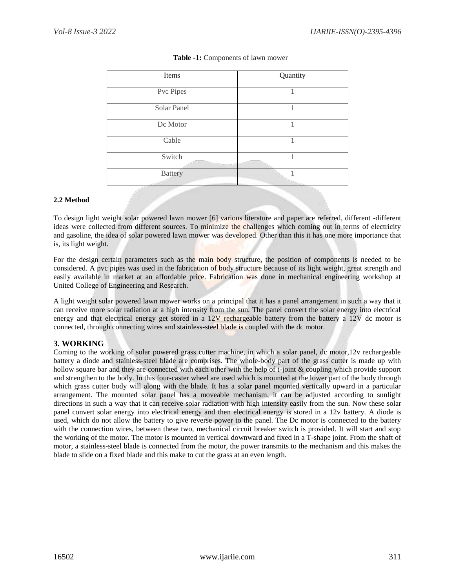| Items          | Quantity |
|----------------|----------|
| Pvc Pipes      |          |
| Solar Panel    |          |
| Dc Motor       |          |
| Cable          |          |
| Switch         |          |
| <b>Battery</b> |          |

### **Table -1:** Components of lawn mower

#### **2.2 Method**

To design light weight solar powered lawn mower [6] various literature and paper are referred, different -different ideas were collected from different sources. To minimize the challenges which coming out in terms of electricity and gasoline, the idea of solar powered lawn mower was developed. Other than this it has one more importance that is, its light weight.

For the design certain parameters such as the main body structure, the position of components is needed to be considered. A pvc pipes was used in the fabrication of body structure because of its light weight, great strength and easily available in market at an affordable price. Fabrication was done in mechanical engineering workshop at United College of Engineering and Research.

A light weight solar powered lawn mower works on a principal that it has a panel arrangement in such a way that it can receive more solar radiation at a high intensity from the sun. The panel convert the solar energy into electrical energy and that electrical energy get stored in a 12V rechargeable battery from the battery a 12V dc motor is connected, through connecting wires and stainless-steel blade is coupled with the dc motor.

## **3. WORKING**

Coming to the working of solar powered grass cutter machine, in which a solar panel, dc motor,12v rechargeable battery a diode and stainless-steel blade are comprises. The whole-body part of the grass cutter is made up with hollow square bar and they are connected with each other with the help of t-joint & coupling which provide support and strengthen to the body. In this four-caster wheel are used which is mounted at the lower part of the body through which grass cutter body will along with the blade. It has a solar panel mounted vertically upward in a particular arrangement. The mounted solar panel has a moveable mechanism, it can be adjusted according to sunlight directions in such a way that it can receive solar radiation with high intensity easily from the sun. Now these solar panel convert solar energy into electrical energy and then electrical energy is stored in a 12v battery. A diode is used, which do not allow the battery to give reverse power to the panel. The Dc motor is connected to the battery with the connection wires, between these two, mechanical circuit breaker switch is provided. It will start and stop the working of the motor. The motor is mounted in vertical downward and fixed in a T-shape joint. From the shaft of motor, a stainless-steel blade is connected from the motor, the power transmits to the mechanism and this makes the blade to slide on a fixed blade and this make to cut the grass at an even length.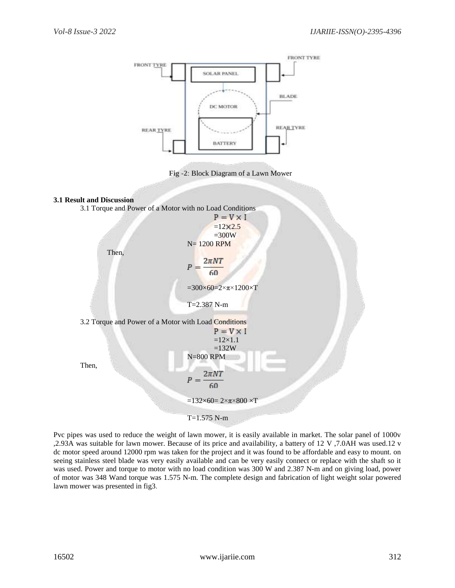

Pvc pipes was used to reduce the weight of lawn mower, it is easily available in market. The solar panel of 1000v ,2.93A was suitable for lawn mower. Because of its price and availability, a battery of 12 V ,7.0AH was used.12 v dc motor speed around 12000 rpm was taken for the project and it was found to be affordable and easy to mount. on seeing stainless steel blade was very easily available and can be very easily connect or replace with the shaft so it was used. Power and torque to motor with no load condition was 300 W and 2.387 N-m and on giving load, power of motor was 348 Wand torque was 1.575 N-m. The complete design and fabrication of light weight solar powered lawn mower was presented in fig3.